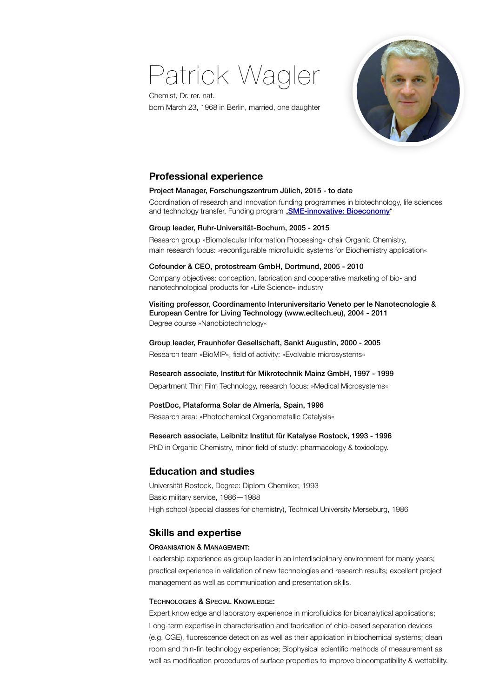# Patrick Wagler



Chemist, Dr. rer. nat. born March 23, 1968 in Berlin, married, one daughter

## **Professional experience**

### Project Manager, Forschungszentrum Jülich, 2015 - to date

Coordination of research and innovation funding programmes in biotechnology, life sciences and technology transfer, Funding program "**[SME-innovative: Bioeconomy](https://www.ptj.de/projektfoerderung/biooekonomie/kmu-innovativ-biooekonomie)**"

### Group leader, Ruhr-Universität-Bochum, 2005 - 2015

Research group »Biomolecular Information Processing« chair Organic Chemistry, main research focus: »reconfigurable microfluidic systems for Biochemistry application«

#### Cofounder & CEO, protostream GmbH, Dortmund, 2005 - 2010

Company objectives: conception, fabrication and cooperative marketing of bio- and nanotechnological products for »Life Science« industry

Visiting professor, Coordinamento Interuniversitario Veneto per le Nanotecnologie & European Centre for Living Technology (www.ecltech.eu), 2004 - 2011 Degree course »Nanobiotechnology«

Group leader, Fraunhofer Gesellschaft, Sankt Augustin, 2000 - 2005 Research team »BioMIP«, field of activity: »Evolvable microsystems«

### Research associate, Institut für Mikrotechnik Mainz GmbH, 1997 - 1999

Department Thin Film Technology, research focus: »Medical Microsystems«

## PostDoc, Plataforma Solar de Almería, Spain, 1996

Research area: »Photochemical Organometallic Catalysis«

### Research associate, Leibnitz Institut für Katalyse Rostock, 1993 - 1996

PhD in Organic Chemistry, minor field of study: pharmacology & toxicology.

## **Education and studies**

Universität Rostock, Degree: Diplom-Chemiker, 1993 Basic military service, 1986—1988 High school (special classes for chemistry), Technical University Merseburg, 1986

## **Skills and expertise**

#### ORGANISATION & MANAGEMENT:

Leadership experience as group leader in an interdisciplinary environment for many years; practical experience in validation of new technologies and research results; excellent project management as well as communication and presentation skills.

## TECHNOLOGIES & SPECIAL KNOWLEDGE:

Expert knowledge and laboratory experience in microfluidics for bioanalytical applications; Long-term expertise in characterisation and fabrication of chip-based separation devices (e.g. CGE), fluorescence detection as well as their application in biochemical systems; clean room and thin-fin technology experience; Biophysical scientific methods of measurement as well as modification procedures of surface properties to improve biocompatibility & wettability.